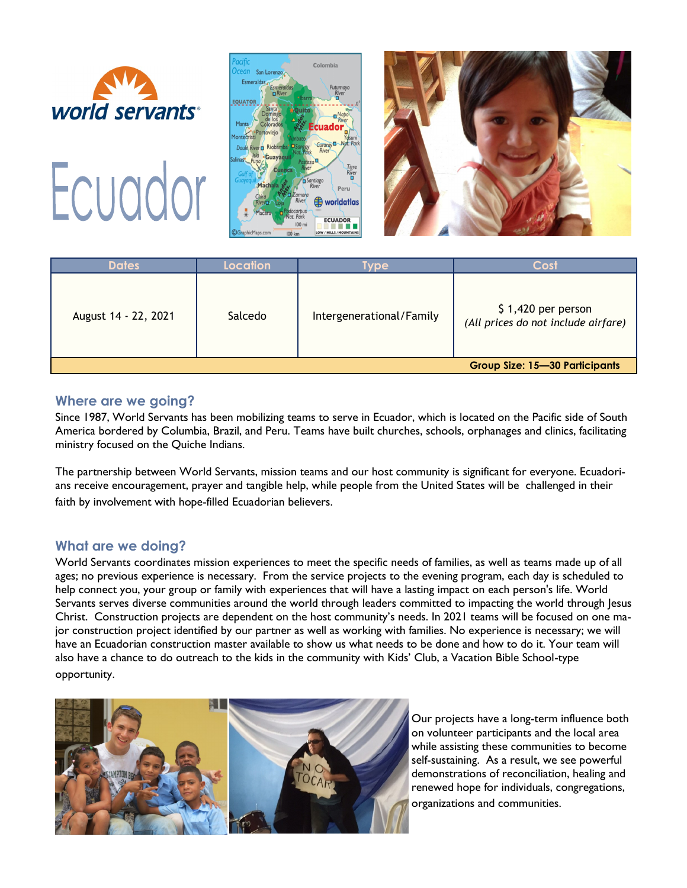







| <b>Dates</b>                          | Location | <b>vpe</b>               | Cost                                                       |
|---------------------------------------|----------|--------------------------|------------------------------------------------------------|
| August 14 - 22, 2021                  | Salcedo  | Intergenerational/Family | $$1,420$ per person<br>(All prices do not include airfare) |
| <b>Group Size: 15-30 Participants</b> |          |                          |                                                            |

#### **Where are we going?**

Since 1987, World Servants has been mobilizing teams to serve in Ecuador, which is located on the Pacific side of South America bordered by Columbia, Brazil, and Peru. Teams have built churches, schools, orphanages and clinics, facilitating ministry focused on the Quiche Indians.

The partnership between World Servants, mission teams and our host community is significant for everyone. Ecuadorians receive encouragement, prayer and tangible help, while people from the United States will be challenged in their faith by involvement with hope-filled Ecuadorian believers.

### **What are we doing?**

World Servants coordinates mission experiences to meet the specific needs of families, as well as teams made up of all ages; no previous experience is necessary. From the service projects to the evening program, each day is scheduled to help connect you, your group or family with experiences that will have a lasting impact on each person's life. World Servants serves diverse communities around the world through leaders committed to impacting the world through Jesus Christ. Construction projects are dependent on the host community's needs. In 2021 teams will be focused on one major construction project identified by our partner as well as working with families. No experience is necessary; we will have an Ecuadorian construction master available to show us what needs to be done and how to do it. Your team will also have a chance to do outreach to the kids in the community with Kids' Club, a Vacation Bible School-type opportunity.



Our projects have a long-term influence both on volunteer participants and the local area while assisting these communities to become self-sustaining. As a result, we see powerful demonstrations of reconciliation, healing and renewed hope for individuals, congregations, organizations and communities.